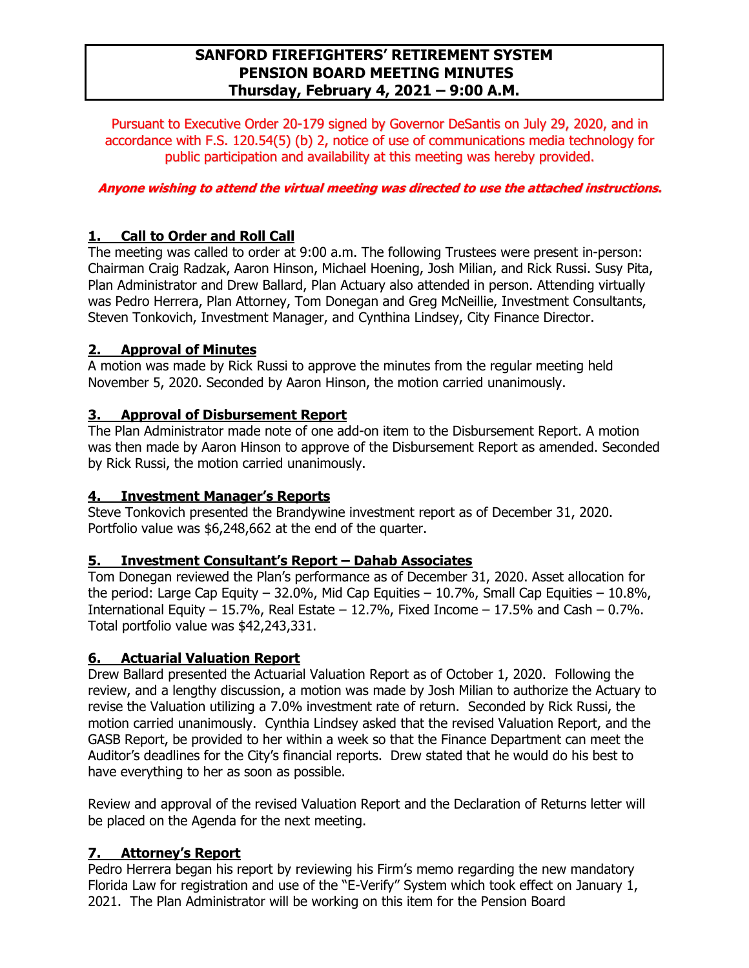# **SANFORD FIREFIGHTERS' RETIREMENT SYSTEM PENSION BOARD MEETING MINUTES Thursday, February 4, 2021 – 9:00 A.M.**

Pursuant to Executive Order 20-179 signed by Governor DeSantis on July 29, 2020, and in accordance with F.S. 120.54(5) (b) 2, notice of use of communications media technology for public participation and availability at this meeting was hereby provided.

### **Anyone wishing to attend the virtual meeting was directed to use the attached instructions.**

## **1. Call to Order and Roll Call**

The meeting was called to order at 9:00 a.m. The following Trustees were present in-person: Chairman Craig Radzak, Aaron Hinson, Michael Hoening, Josh Milian, and Rick Russi. Susy Pita, Plan Administrator and Drew Ballard, Plan Actuary also attended in person. Attending virtually was Pedro Herrera, Plan Attorney, Tom Donegan and Greg McNeillie, Investment Consultants, Steven Tonkovich, Investment Manager, and Cynthina Lindsey, City Finance Director.

### **2. Approval of Minutes**

A motion was made by Rick Russi to approve the minutes from the regular meeting held November 5, 2020. Seconded by Aaron Hinson, the motion carried unanimously.

### **3. Approval of Disbursement Report**

The Plan Administrator made note of one add-on item to the Disbursement Report. A motion was then made by Aaron Hinson to approve of the Disbursement Report as amended. Seconded by Rick Russi, the motion carried unanimously.

### **4. Investment Manager's Reports**

Steve Tonkovich presented the Brandywine investment report as of December 31, 2020. Portfolio value was \$6,248,662 at the end of the quarter.

### **5. Investment Consultant's Report – Dahab Associates**

Tom Donegan reviewed the Plan's performance as of December 31, 2020. Asset allocation for the period: Large Cap Equity – 32.0%, Mid Cap Equities – 10.7%, Small Cap Equities – 10.8%, International Equity – 15.7%, Real Estate – 12.7%, Fixed Income – 17.5% and Cash – 0.7%. Total portfolio value was \$42,243,331.

## **6. Actuarial Valuation Report**

Drew Ballard presented the Actuarial Valuation Report as of October 1, 2020. Following the review, and a lengthy discussion, a motion was made by Josh Milian to authorize the Actuary to revise the Valuation utilizing a 7.0% investment rate of return. Seconded by Rick Russi, the motion carried unanimously. Cynthia Lindsey asked that the revised Valuation Report, and the GASB Report, be provided to her within a week so that the Finance Department can meet the Auditor's deadlines for the City's financial reports. Drew stated that he would do his best to have everything to her as soon as possible.

Review and approval of the revised Valuation Report and the Declaration of Returns letter will be placed on the Agenda for the next meeting.

## **7. Attorney's Report**

Pedro Herrera began his report by reviewing his Firm's memo regarding the new mandatory Florida Law for registration and use of the "E-Verify" System which took effect on January 1, 2021. The Plan Administrator will be working on this item for the Pension Board